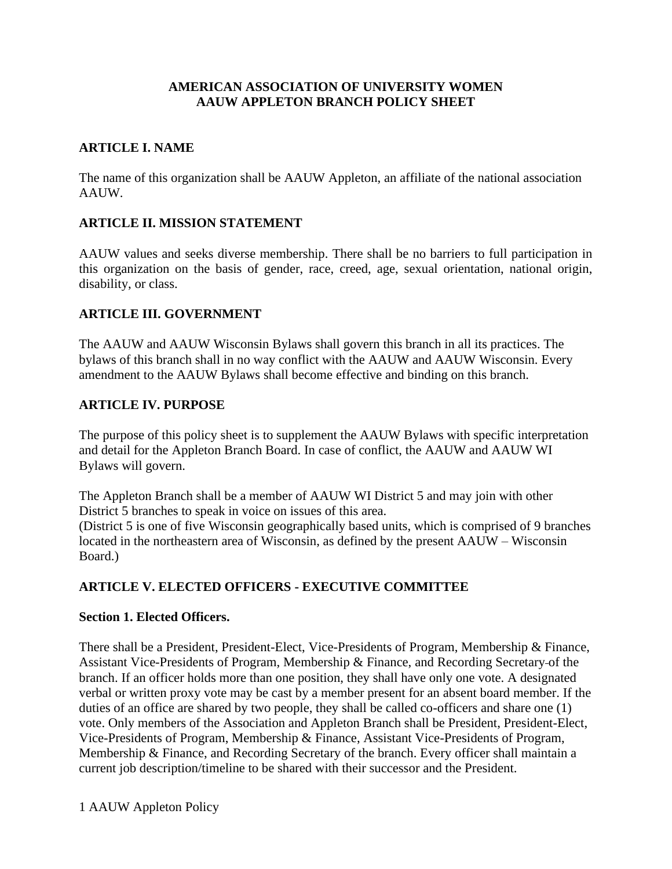### **AMERICAN ASSOCIATION OF UNIVERSITY WOMEN AAUW APPLETON BRANCH POLICY SHEET**

## **ARTICLE I. NAME**

The name of this organization shall be AAUW Appleton, an affiliate of the national association AAUW.

## **ARTICLE II. MISSION STATEMENT**

AAUW values and seeks diverse membership. There shall be no barriers to full participation in this organization on the basis of gender, race, creed, age, sexual orientation, national origin, disability, or class.

## **ARTICLE III. GOVERNMENT**

The AAUW and AAUW Wisconsin Bylaws shall govern this branch in all its practices. The bylaws of this branch shall in no way conflict with the AAUW and AAUW Wisconsin. Every amendment to the AAUW Bylaws shall become effective and binding on this branch.

## **ARTICLE IV. PURPOSE**

The purpose of this policy sheet is to supplement the AAUW Bylaws with specific interpretation and detail for the Appleton Branch Board. In case of conflict, the AAUW and AAUW WI Bylaws will govern.

The Appleton Branch shall be a member of AAUW WI District 5 and may join with other District 5 branches to speak in voice on issues of this area.

(District 5 is one of five Wisconsin geographically based units, which is comprised of 9 branches located in the northeastern area of Wisconsin, as defined by the present AAUW – Wisconsin Board.)

# **ARTICLE V. ELECTED OFFICERS - EXECUTIVE COMMITTEE**

## **Section 1. Elected Officers.**

There shall be a President, President-Elect, Vice-Presidents of Program, Membership & Finance, Assistant Vice-Presidents of Program, Membership & Finance, and Recording Secretary of the branch. If an officer holds more than one position, they shall have only one vote. A designated verbal or written proxy vote may be cast by a member present for an absent board member. If the duties of an office are shared by two people, they shall be called co-officers and share one (1) vote. Only members of the Association and Appleton Branch shall be President, President-Elect, Vice-Presidents of Program, Membership & Finance, Assistant Vice-Presidents of Program, Membership & Finance, and Recording Secretary of the branch. Every officer shall maintain a current job description/timeline to be shared with their successor and the President.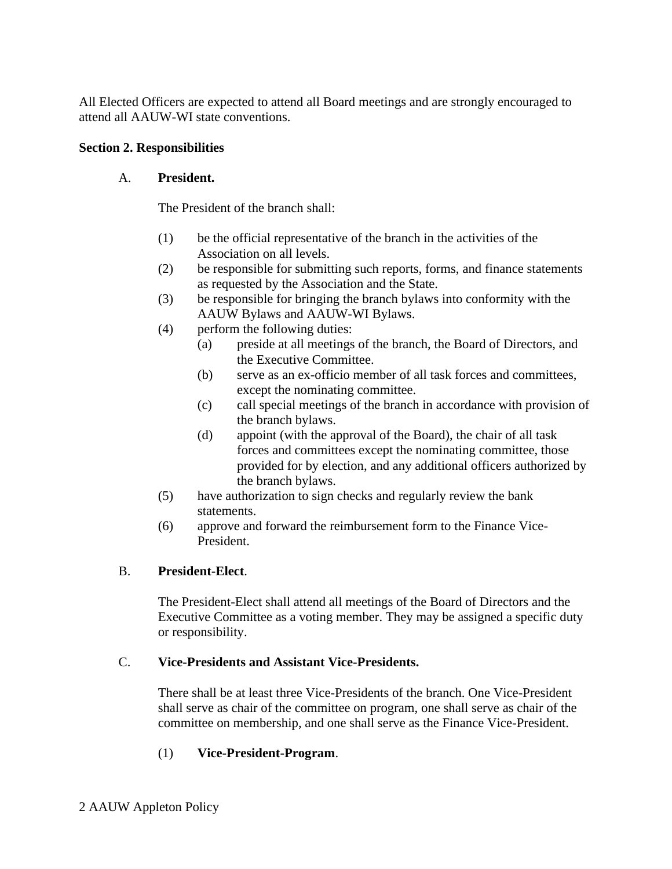All Elected Officers are expected to attend all Board meetings and are strongly encouraged to attend all AAUW-WI state conventions.

## **Section 2. Responsibilities**

# A. **President.**

The President of the branch shall:

- (1) be the official representative of the branch in the activities of the Association on all levels.
- (2) be responsible for submitting such reports, forms, and finance statements as requested by the Association and the State.
- (3) be responsible for bringing the branch bylaws into conformity with the AAUW Bylaws and AAUW-WI Bylaws.
- (4) perform the following duties:
	- (a) preside at all meetings of the branch, the Board of Directors, and the Executive Committee.
	- (b) serve as an ex-officio member of all task forces and committees, except the nominating committee.
	- (c) call special meetings of the branch in accordance with provision of the branch bylaws.
	- (d) appoint (with the approval of the Board), the chair of all task forces and committees except the nominating committee, those provided for by election, and any additional officers authorized by the branch bylaws.
- (5) have authorization to sign checks and regularly review the bank statements.
- (6) approve and forward the reimbursement form to the Finance Vice-President.

# B. **President-Elect**.

The President-Elect shall attend all meetings of the Board of Directors and the Executive Committee as a voting member. They may be assigned a specific duty or responsibility.

# C. **Vice-Presidents and Assistant Vice-Presidents.**

There shall be at least three Vice-Presidents of the branch. One Vice-President shall serve as chair of the committee on program, one shall serve as chair of the committee on membership, and one shall serve as the Finance Vice-President.

# (1) **Vice-President-Program**.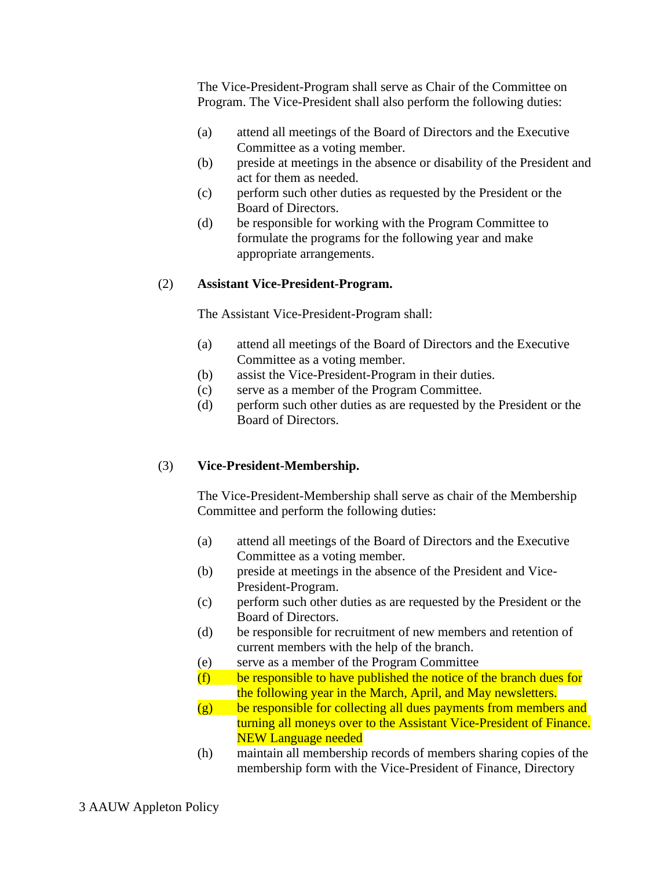The Vice-President-Program shall serve as Chair of the Committee on Program. The Vice-President shall also perform the following duties:

- (a) attend all meetings of the Board of Directors and the Executive Committee as a voting member.
- (b) preside at meetings in the absence or disability of the President and act for them as needed.
- (c) perform such other duties as requested by the President or the Board of Directors.
- (d) be responsible for working with the Program Committee to formulate the programs for the following year and make appropriate arrangements.

## (2) **Assistant Vice-President-Program.**

The Assistant Vice-President-Program shall:

- (a) attend all meetings of the Board of Directors and the Executive Committee as a voting member.
- (b) assist the Vice-President-Program in their duties.
- (c) serve as a member of the Program Committee.
- (d) perform such other duties as are requested by the President or the Board of Directors.

# (3) **Vice-President-Membership.**

The Vice-President-Membership shall serve as chair of the Membership Committee and perform the following duties:

- (a) attend all meetings of the Board of Directors and the Executive Committee as a voting member.
- (b) preside at meetings in the absence of the President and Vice-President-Program.
- (c) perform such other duties as are requested by the President or the Board of Directors.
- (d) be responsible for recruitment of new members and retention of current members with the help of the branch.
- (e) serve as a member of the Program Committee
- $(f)$  be responsible to have published the notice of the branch dues for the following year in the March, April, and May newsletters.
- $(g)$  be responsible for collecting all dues payments from members and turning all moneys over to the Assistant Vice-President of Finance. NEW Language needed
- (h) maintain all membership records of members sharing copies of the membership form with the Vice-President of Finance, Directory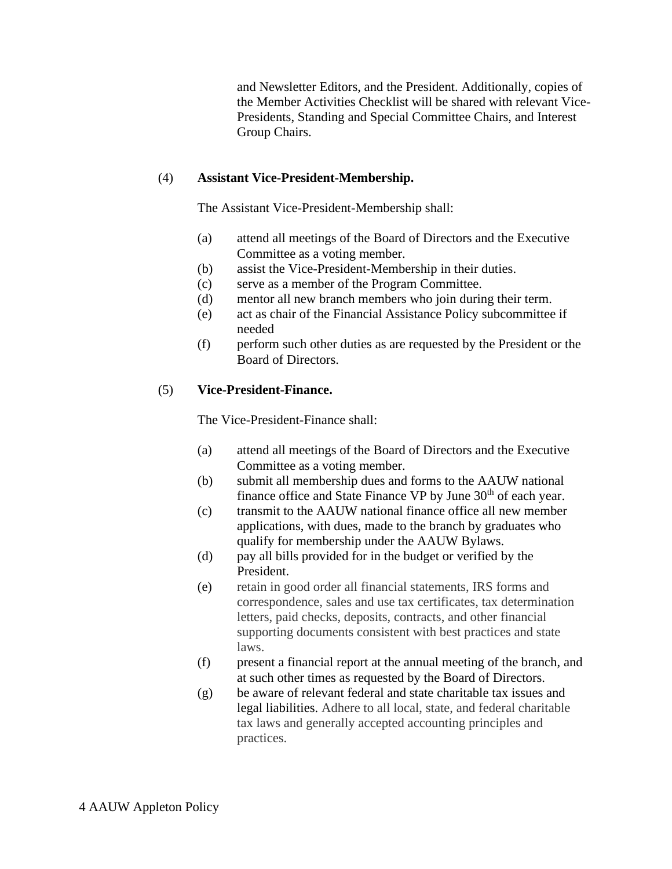and Newsletter Editors, and the President. Additionally, copies of the Member Activities Checklist will be shared with relevant Vice-Presidents, Standing and Special Committee Chairs, and Interest Group Chairs.

## (4) **Assistant Vice-President-Membership.**

The Assistant Vice-President-Membership shall:

- (a) attend all meetings of the Board of Directors and the Executive Committee as a voting member.
- (b) assist the Vice-President-Membership in their duties.
- (c) serve as a member of the Program Committee.
- (d) mentor all new branch members who join during their term.
- (e) act as chair of the Financial Assistance Policy subcommittee if needed
- (f) perform such other duties as are requested by the President or the Board of Directors.

## (5) **Vice-President-Finance.**

The Vice-President-Finance shall:

- (a) attend all meetings of the Board of Directors and the Executive Committee as a voting member.
- (b) submit all membership dues and forms to the AAUW national finance office and State Finance VP by June 30<sup>th</sup> of each year.
- (c) transmit to the AAUW national finance office all new member applications, with dues, made to the branch by graduates who qualify for membership under the AAUW Bylaws.
- (d) pay all bills provided for in the budget or verified by the President.
- (e) retain in good order all financial statements, IRS forms and correspondence, sales and use tax certificates, tax determination letters, paid checks, deposits, contracts, and other financial supporting documents consistent with best practices and state laws.
- (f) present a financial report at the annual meeting of the branch, and at such other times as requested by the Board of Directors.
- (g) be aware of relevant federal and state charitable tax issues and legal liabilities. Adhere to all local, state, and federal charitable tax laws and generally accepted accounting principles and practices.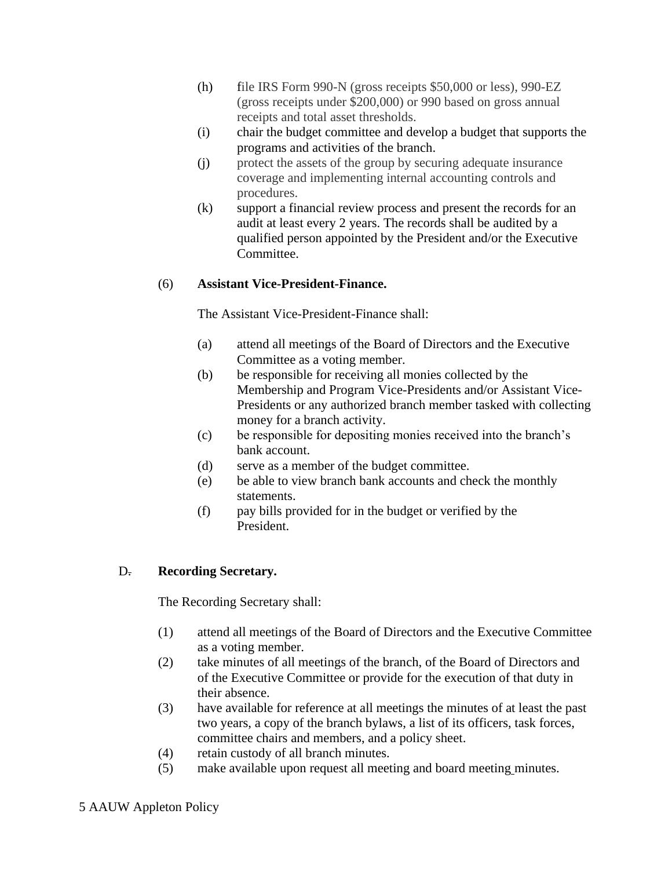- (h) file IRS Form 990-N (gross receipts \$50,000 or less), 990-EZ (gross receipts under \$200,000) or 990 based on gross annual receipts and total asset thresholds.
- (i) chair the budget committee and develop a budget that supports the programs and activities of the branch.
- (j) protect the assets of the group by securing adequate insurance coverage and implementing internal accounting controls and procedures.
- (k) support a financial review process and present the records for an audit at least every 2 years. The records shall be audited by a qualified person appointed by the President and/or the Executive Committee.

## (6) **Assistant Vice-President-Finance.**

The Assistant Vice-President-Finance shall:

- (a) attend all meetings of the Board of Directors and the Executive Committee as a voting member.
- (b) be responsible for receiving all monies collected by the Membership and Program Vice-Presidents and/or Assistant Vice-Presidents or any authorized branch member tasked with collecting money for a branch activity.
- (c) be responsible for depositing monies received into the branch's bank account.
- (d) serve as a member of the budget committee.
- (e) be able to view branch bank accounts and check the monthly statements.
- (f) pay bills provided for in the budget or verified by the President.

## D. **Recording Secretary.**

The Recording Secretary shall:

- (1) attend all meetings of the Board of Directors and the Executive Committee as a voting member.
- (2) take minutes of all meetings of the branch, of the Board of Directors and of the Executive Committee or provide for the execution of that duty in their absence.
- (3) have available for reference at all meetings the minutes of at least the past two years, a copy of the branch bylaws, a list of its officers, task forces, committee chairs and members, and a policy sheet.
- (4) retain custody of all branch minutes.
- (5) make available upon request all meeting and board meeting minutes.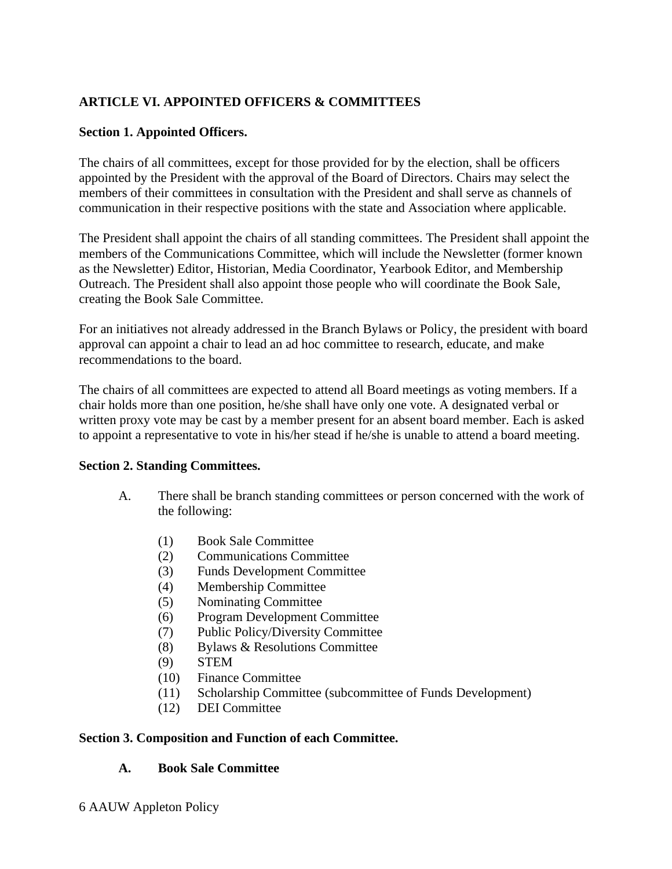# **ARTICLE VI. APPOINTED OFFICERS & COMMITTEES**

## **Section 1. Appointed Officers.**

The chairs of all committees, except for those provided for by the election, shall be officers appointed by the President with the approval of the Board of Directors. Chairs may select the members of their committees in consultation with the President and shall serve as channels of communication in their respective positions with the state and Association where applicable.

The President shall appoint the chairs of all standing committees. The President shall appoint the members of the Communications Committee, which will include the Newsletter (former known as the Newsletter) Editor, Historian, Media Coordinator, Yearbook Editor, and Membership Outreach. The President shall also appoint those people who will coordinate the Book Sale, creating the Book Sale Committee.

For an initiatives not already addressed in the Branch Bylaws or Policy, the president with board approval can appoint a chair to lead an ad hoc committee to research, educate, and make recommendations to the board.

The chairs of all committees are expected to attend all Board meetings as voting members. If a chair holds more than one position, he/she shall have only one vote. A designated verbal or written proxy vote may be cast by a member present for an absent board member. Each is asked to appoint a representative to vote in his/her stead if he/she is unable to attend a board meeting.

## **Section 2. Standing Committees.**

- A. There shall be branch standing committees or person concerned with the work of the following:
	- (1) Book Sale Committee
	- (2) Communications Committee
	- (3) Funds Development Committee
	- (4) Membership Committee
	- (5) Nominating Committee
	- (6) Program Development Committee
	- (7) Public Policy/Diversity Committee
	- (8) Bylaws & Resolutions Committee
	- (9) STEM
	- (10) Finance Committee
	- (11) Scholarship Committee (subcommittee of Funds Development)
	- (12) DEI Committee

#### **Section 3. Composition and Function of each Committee.**

## **A. Book Sale Committee**

6 AAUW Appleton Policy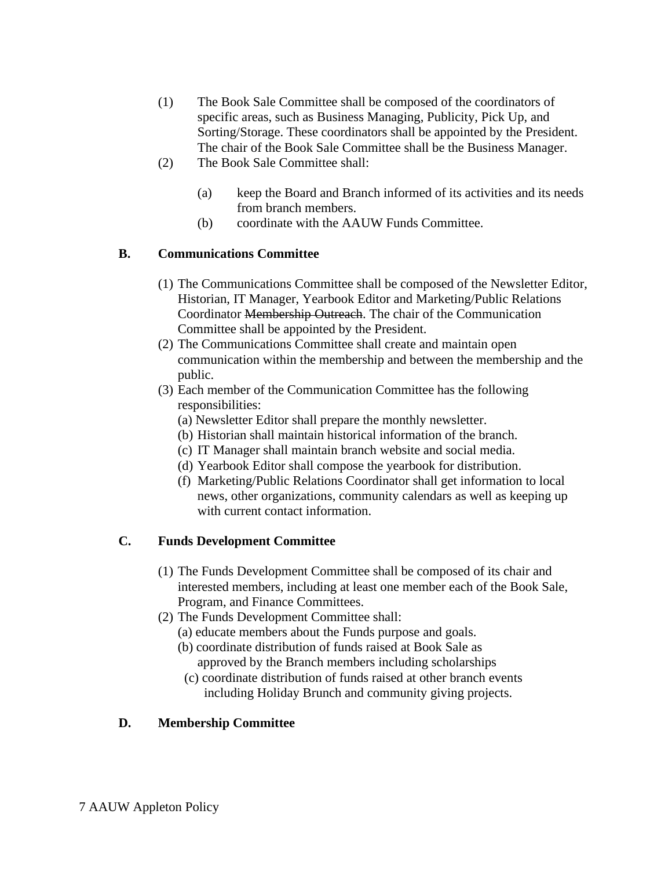- (1) The Book Sale Committee shall be composed of the coordinators of specific areas, such as Business Managing, Publicity, Pick Up, and Sorting/Storage. These coordinators shall be appointed by the President. The chair of the Book Sale Committee shall be the Business Manager.
- (2) The Book Sale Committee shall:
	- (a) keep the Board and Branch informed of its activities and its needs from branch members.
	- (b) coordinate with the AAUW Funds Committee.

## **B. Communications Committee**

- (1) The Communications Committee shall be composed of the Newsletter Editor, Historian, IT Manager, Yearbook Editor and Marketing/Public Relations Coordinator Membership Outreach. The chair of the Communication Committee shall be appointed by the President.
- (2) The Communications Committee shall create and maintain open communication within the membership and between the membership and the public.
- (3) Each member of the Communication Committee has the following responsibilities:
	- (a) Newsletter Editor shall prepare the monthly newsletter.
	- (b) Historian shall maintain historical information of the branch.
	- (c) IT Manager shall maintain branch website and social media.
	- (d) Yearbook Editor shall compose the yearbook for distribution.
	- (f) Marketing/Public Relations Coordinator shall get information to local news, other organizations, community calendars as well as keeping up with current contact information.

# **C. Funds Development Committee**

- (1) The Funds Development Committee shall be composed of its chair and interested members, including at least one member each of the Book Sale, Program, and Finance Committees.
- (2) The Funds Development Committee shall:
	- (a) educate members about the Funds purpose and goals.
	- (b) coordinate distribution of funds raised at Book Sale as approved by the Branch members including scholarships
	- (c) coordinate distribution of funds raised at other branch events including Holiday Brunch and community giving projects.

# **D. Membership Committee**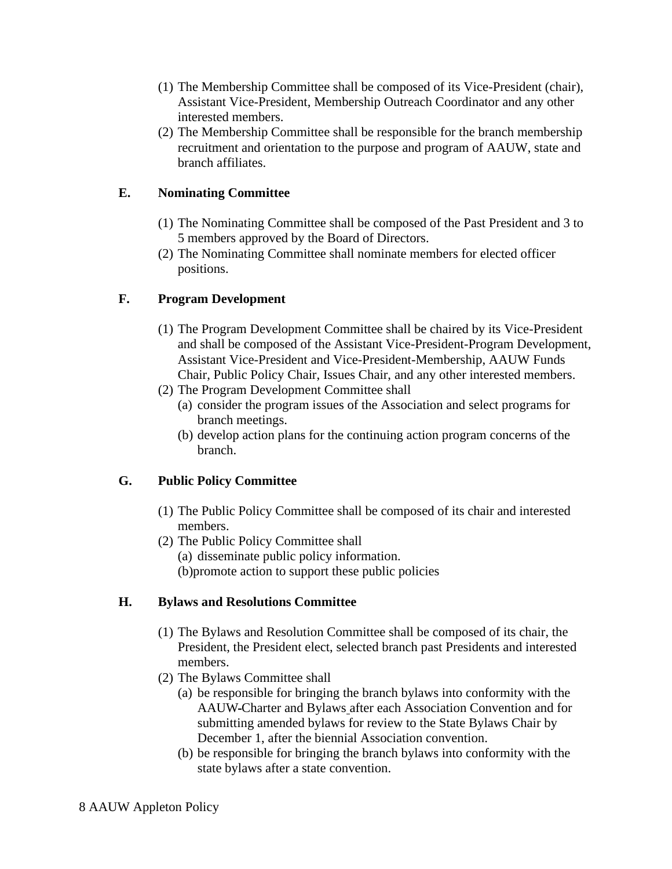- (1) The Membership Committee shall be composed of its Vice-President (chair), Assistant Vice-President, Membership Outreach Coordinator and any other interested members.
- (2) The Membership Committee shall be responsible for the branch membership recruitment and orientation to the purpose and program of AAUW, state and branch affiliates.

## **E. Nominating Committee**

- (1) The Nominating Committee shall be composed of the Past President and 3 to 5 members approved by the Board of Directors.
- (2) The Nominating Committee shall nominate members for elected officer positions.

## **F. Program Development**

- (1) The Program Development Committee shall be chaired by its Vice-President and shall be composed of the Assistant Vice-President-Program Development, Assistant Vice-President and Vice-President-Membership, AAUW Funds Chair, Public Policy Chair, Issues Chair, and any other interested members.
- (2) The Program Development Committee shall
	- (a) consider the program issues of the Association and select programs for branch meetings.
	- (b) develop action plans for the continuing action program concerns of the branch.

## **G. Public Policy Committee**

- (1) The Public Policy Committee shall be composed of its chair and interested members.
- (2) The Public Policy Committee shall
	- (a) disseminate public policy information.
	- (b)promote action to support these public policies

## **H. Bylaws and Resolutions Committee**

- (1) The Bylaws and Resolution Committee shall be composed of its chair, the President, the President elect, selected branch past Presidents and interested members.
- (2) The Bylaws Committee shall
	- (a) be responsible for bringing the branch bylaws into conformity with the AAUW Charter and Bylaws after each Association Convention and for submitting amended bylaws for review to the State Bylaws Chair by December 1, after the biennial Association convention.
	- (b) be responsible for bringing the branch bylaws into conformity with the state bylaws after a state convention.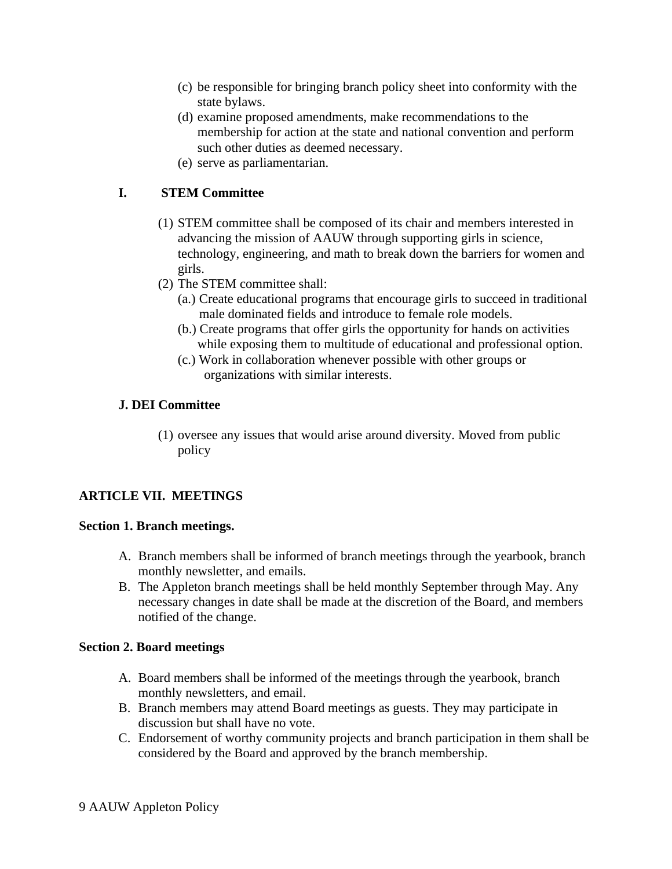- (c) be responsible for bringing branch policy sheet into conformity with the state bylaws.
- (d) examine proposed amendments, make recommendations to the membership for action at the state and national convention and perform such other duties as deemed necessary.
- (e) serve as parliamentarian.

# **I. STEM Committee**

- (1) STEM committee shall be composed of its chair and members interested in advancing the mission of AAUW through supporting girls in science, technology, engineering, and math to break down the barriers for women and girls.
- (2) The STEM committee shall:
	- (a.) Create educational programs that encourage girls to succeed in traditional male dominated fields and introduce to female role models.
	- (b.) Create programs that offer girls the opportunity for hands on activities while exposing them to multitude of educational and professional option.
	- (c.) Work in collaboration whenever possible with other groups or organizations with similar interests.

## **J. DEI Committee**

(1) oversee any issues that would arise around diversity. Moved from public policy

# **ARTICLE VII. MEETINGS**

## **Section 1. Branch meetings.**

- A. Branch members shall be informed of branch meetings through the yearbook, branch monthly newsletter, and emails.
- B. The Appleton branch meetings shall be held monthly September through May. Any necessary changes in date shall be made at the discretion of the Board, and members notified of the change.

## **Section 2. Board meetings**

- A. Board members shall be informed of the meetings through the yearbook, branch monthly newsletters, and email.
- B. Branch members may attend Board meetings as guests. They may participate in discussion but shall have no vote.
- C. Endorsement of worthy community projects and branch participation in them shall be considered by the Board and approved by the branch membership.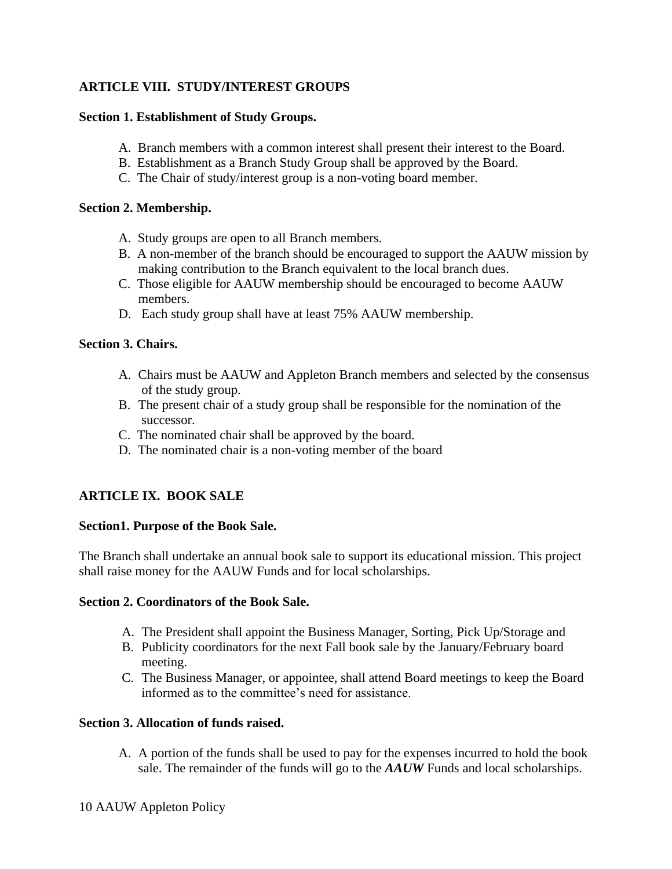# **ARTICLE VIII. STUDY/INTEREST GROUPS**

### **Section 1. Establishment of Study Groups.**

- A. Branch members with a common interest shall present their interest to the Board.
- B. Establishment as a Branch Study Group shall be approved by the Board.
- C. The Chair of study/interest group is a non-voting board member.

### **Section 2. Membership.**

- A. Study groups are open to all Branch members.
- B. A non-member of the branch should be encouraged to support the AAUW mission by making contribution to the Branch equivalent to the local branch dues.
- C. Those eligible for AAUW membership should be encouraged to become AAUW members.
- D. Each study group shall have at least 75% AAUW membership.

### **Section 3. Chairs.**

- A. Chairs must be AAUW and Appleton Branch members and selected by the consensus of the study group.
- B. The present chair of a study group shall be responsible for the nomination of the successor.
- C. The nominated chair shall be approved by the board.
- D. The nominated chair is a non-voting member of the board

## **ARTICLE IX. BOOK SALE**

#### **Section1. Purpose of the Book Sale.**

The Branch shall undertake an annual book sale to support its educational mission. This project shall raise money for the AAUW Funds and for local scholarships.

#### **Section 2. Coordinators of the Book Sale.**

- A. The President shall appoint the Business Manager, Sorting, Pick Up/Storage and
- B. Publicity coordinators for the next Fall book sale by the January/February board meeting.
- C. The Business Manager, or appointee, shall attend Board meetings to keep the Board informed as to the committee's need for assistance.

## **Section 3. Allocation of funds raised.**

A. A portion of the funds shall be used to pay for the expenses incurred to hold the book sale. The remainder of the funds will go to the *AAUW* Funds and local scholarships.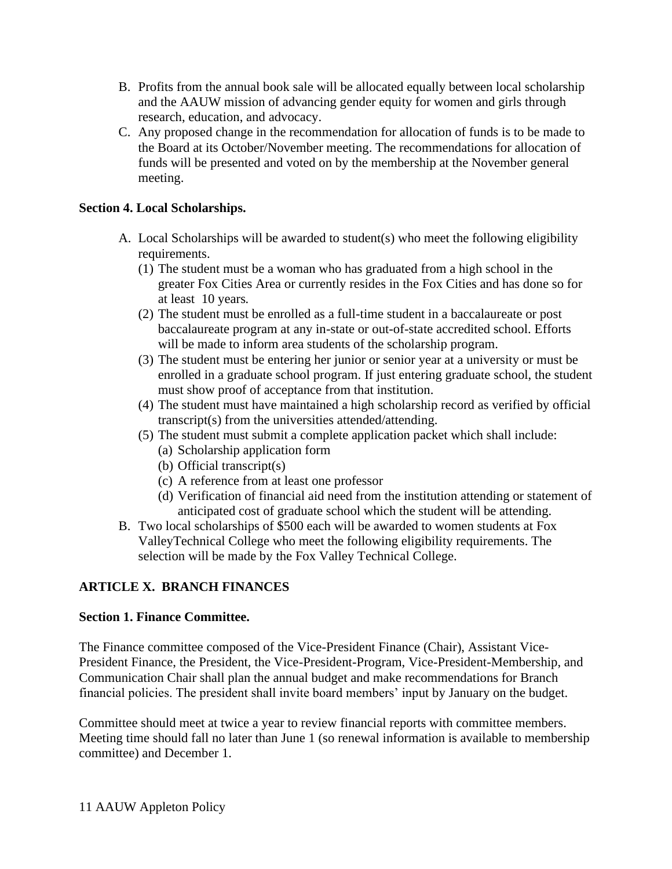- B. Profits from the annual book sale will be allocated equally between local scholarship and the AAUW mission of advancing gender equity for women and girls through research, education, and advocacy.
- C. Any proposed change in the recommendation for allocation of funds is to be made to the Board at its October/November meeting. The recommendations for allocation of funds will be presented and voted on by the membership at the November general meeting.

## **Section 4. Local Scholarships.**

- A. Local Scholarships will be awarded to student(s) who meet the following eligibility requirements.
	- (1) The student must be a woman who has graduated from a high school in the greater Fox Cities Area or currently resides in the Fox Cities and has done so for at least 10 years*.*
	- (2) The student must be enrolled as a full-time student in a baccalaureate or post baccalaureate program at any in-state or out-of-state accredited school. Efforts will be made to inform area students of the scholarship program.
	- (3) The student must be entering her junior or senior year at a university or must be enrolled in a graduate school program. If just entering graduate school, the student must show proof of acceptance from that institution.
	- (4) The student must have maintained a high scholarship record as verified by official transcript(s) from the universities attended/attending.
	- (5) The student must submit a complete application packet which shall include:
		- (a) Scholarship application form
		- (b) Official transcript(s)
		- (c) A reference from at least one professor
		- (d) Verification of financial aid need from the institution attending or statement of anticipated cost of graduate school which the student will be attending.
- B. Two local scholarships of \$500 each will be awarded to women students at Fox ValleyTechnical College who meet the following eligibility requirements. The selection will be made by the Fox Valley Technical College.

# **ARTICLE X. BRANCH FINANCES**

## **Section 1. Finance Committee.**

The Finance committee composed of the Vice-President Finance (Chair), Assistant Vice-President Finance, the President, the Vice-President-Program, Vice-President-Membership, and Communication Chair shall plan the annual budget and make recommendations for Branch financial policies. The president shall invite board members' input by January on the budget.

Committee should meet at twice a year to review financial reports with committee members. Meeting time should fall no later than June 1 (so renewal information is available to membership committee) and December 1.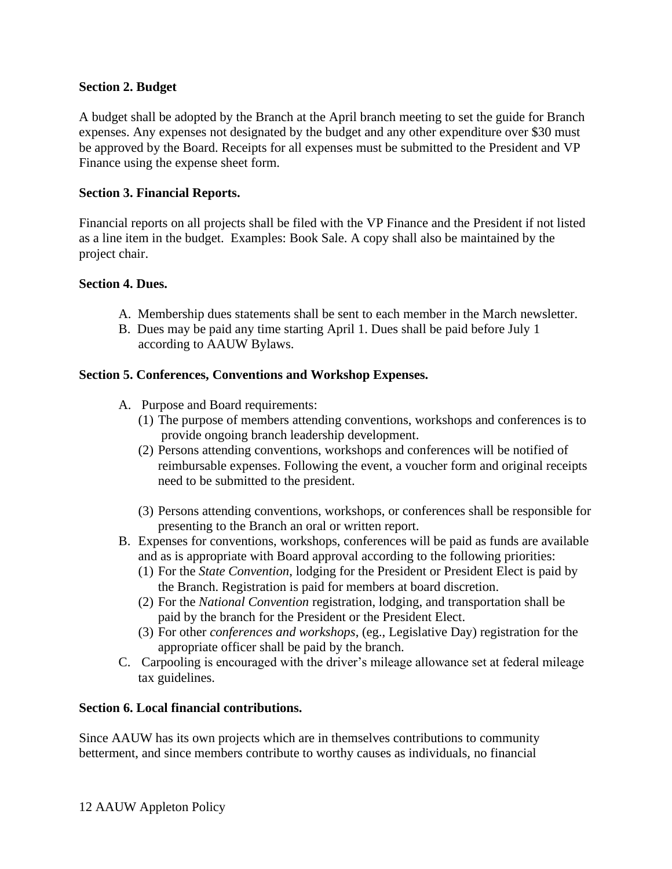### **Section 2. Budget**

A budget shall be adopted by the Branch at the April branch meeting to set the guide for Branch expenses. Any expenses not designated by the budget and any other expenditure over \$30 must be approved by the Board. Receipts for all expenses must be submitted to the President and VP Finance using the expense sheet form.

#### **Section 3. Financial Reports.**

Financial reports on all projects shall be filed with the VP Finance and the President if not listed as a line item in the budget. Examples: Book Sale. A copy shall also be maintained by the project chair.

#### **Section 4. Dues.**

- A. Membership dues statements shall be sent to each member in the March newsletter.
- B. Dues may be paid any time starting April 1. Dues shall be paid before July 1 according to AAUW Bylaws.

### **Section 5. Conferences, Conventions and Workshop Expenses.**

- A. Purpose and Board requirements:
	- (1) The purpose of members attending conventions, workshops and conferences is to provide ongoing branch leadership development.
	- (2) Persons attending conventions, workshops and conferences will be notified of reimbursable expenses. Following the event, a voucher form and original receipts need to be submitted to the president.
	- (3) Persons attending conventions, workshops, or conferences shall be responsible for presenting to the Branch an oral or written report.
- B. Expenses for conventions, workshops, conferences will be paid as funds are available and as is appropriate with Board approval according to the following priorities:
	- (1) For the *State Convention*, lodging for the President or President Elect is paid by the Branch. Registration is paid for members at board discretion.
	- (2) For the *National Convention* registration, lodging, and transportation shall be paid by the branch for the President or the President Elect.
	- (3) For other *conferences and workshops*, (eg., Legislative Day) registration for the appropriate officer shall be paid by the branch.
- C. Carpooling is encouraged with the driver's mileage allowance set at federal mileage tax guidelines.

## **Section 6. Local financial contributions.**

Since AAUW has its own projects which are in themselves contributions to community betterment, and since members contribute to worthy causes as individuals, no financial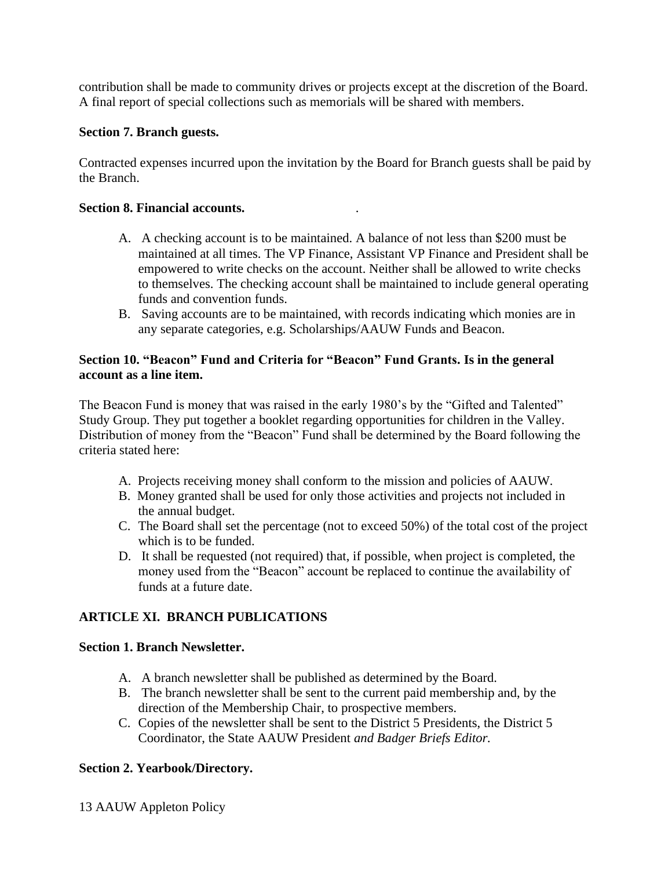contribution shall be made to community drives or projects except at the discretion of the Board. A final report of special collections such as memorials will be shared with members.

### **Section 7. Branch guests.**

Contracted expenses incurred upon the invitation by the Board for Branch guests shall be paid by the Branch.

#### **Section 8. Financial accounts.** .

- A. A checking account is to be maintained. A balance of not less than \$200 must be maintained at all times. The VP Finance, Assistant VP Finance and President shall be empowered to write checks on the account. Neither shall be allowed to write checks to themselves. The checking account shall be maintained to include general operating funds and convention funds.
- B. Saving accounts are to be maintained, with records indicating which monies are in any separate categories, e.g. Scholarships/AAUW Funds and Beacon.

### **Section 10. "Beacon" Fund and Criteria for "Beacon" Fund Grants. Is in the general account as a line item.**

The Beacon Fund is money that was raised in the early 1980's by the "Gifted and Talented" Study Group. They put together a booklet regarding opportunities for children in the Valley. Distribution of money from the "Beacon" Fund shall be determined by the Board following the criteria stated here:

- A. Projects receiving money shall conform to the mission and policies of AAUW.
- B. Money granted shall be used for only those activities and projects not included in the annual budget.
- C. The Board shall set the percentage (not to exceed 50%) of the total cost of the project which is to be funded.
- D. It shall be requested (not required) that, if possible, when project is completed, the money used from the "Beacon" account be replaced to continue the availability of funds at a future date.

## **ARTICLE XI. BRANCH PUBLICATIONS**

#### **Section 1. Branch Newsletter.**

- A. A branch newsletter shall be published as determined by the Board.
- B. The branch newsletter shall be sent to the current paid membership and, by the direction of the Membership Chair, to prospective members.
- C. Copies of the newsletter shall be sent to the District 5 Presidents, the District 5 Coordinator, the State AAUW President *and Badger Briefs Editor.*

## **Section 2. Yearbook/Directory.**

13 AAUW Appleton Policy